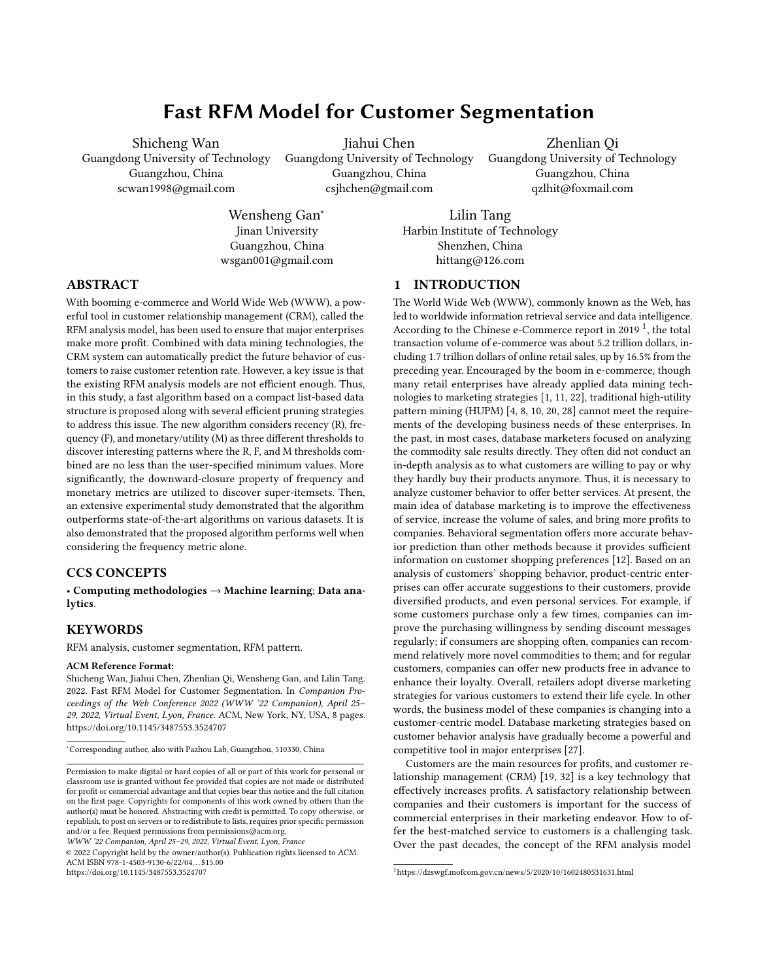# Fast RFM Model for Customer Segmentation

Shicheng Wan Guangdong University of Technology Guangzhou, China scwan1998@gmail.com

Jiahui Chen

Guangdong University of Technology Guangzhou, China csjhchen@gmail.com

Zhenlian Qi Guangdong University of Technology Guangzhou, China qzlhit@foxmail.com

Wensheng Gan<sup>∗</sup> Jinan University Guangzhou, China wsgan001@gmail.com

Lilin Tang Harbin Institute of Technology Shenzhen, China hittang@126.com

# ABSTRACT

With booming e-commerce and World Wide Web (WWW), a powerful tool in customer relationship management (CRM), called the RFM analysis model, has been used to ensure that major enterprises make more profit. Combined with data mining technologies, the CRM system can automatically predict the future behavior of customers to raise customer retention rate. However, a key issue is that the existing RFM analysis models are not efficient enough. Thus, in this study, a fast algorithm based on a compact list-based data structure is proposed along with several efficient pruning strategies to address this issue. The new algorithm considers recency (R), frequency (F), and monetary/utility (M) as three different thresholds to discover interesting patterns where the R, F, and M thresholds combined are no less than the user-specified minimum values. More significantly, the downward-closure property of frequency and monetary metrics are utilized to discover super-itemsets. Then, an extensive experimental study demonstrated that the algorithm outperforms state-of-the-art algorithms on various datasets. It is also demonstrated that the proposed algorithm performs well when considering the frequency metric alone.

# CCS CONCEPTS

• Computing methodologies → Machine learning; Data analytics.

# **KEYWORDS**

RFM analysis, customer segmentation, RFM pattern.

#### ACM Reference Format:

Shicheng Wan, Jiahui Chen, Zhenlian Qi, Wensheng Gan, and Lilin Tang. 2022. Fast RFM Model for Customer Segmentation. In Companion Proceedings of the Web Conference 2022 (WWW '22 Companion), April 25– 29, 2022, Virtual Event, Lyon, France. ACM, New York, NY, USA, [8](#page-7-0) pages. <https://doi.org/10.1145/3487553.3524707>

WWW '22 Companion, April 25–29, 2022, Virtual Event, Lyon, France

© 2022 Copyright held by the owner/author(s). Publication rights licensed to ACM. ACM ISBN 978-1-4503-9130-6/22/04. . . \$15.00 <https://doi.org/10.1145/3487553.3524707>

# <span id="page-0-1"></span>1 INTRODUCTION

The World Wide Web (WWW), commonly known as the Web, has led to worldwide information retrieval service and data intelligence. According to the Chinese e-Commerce report in 20[1](#page-0-0)9  $^1$ , the total transaction volume of e-commerce was about 5.2 trillion dollars, including 1.7 trillion dollars of online retail sales, up by 16.5% from the preceding year. Encouraged by the boom in e-commerce, though many retail enterprises have already applied data mining technologies to marketing strategies [\[1,](#page-7-1) [11,](#page-7-2) [22\]](#page-7-3), traditional high-utility pattern mining (HUPM) [\[4,](#page-7-4) [8,](#page-7-5) [10,](#page-7-6) [20,](#page-7-7) [28\]](#page-7-8) cannot meet the requirements of the developing business needs of these enterprises. In the past, in most cases, database marketers focused on analyzing the commodity sale results directly. They often did not conduct an in-depth analysis as to what customers are willing to pay or why they hardly buy their products anymore. Thus, it is necessary to analyze customer behavior to offer better services. At present, the main idea of database marketing is to improve the effectiveness of service, increase the volume of sales, and bring more profits to companies. Behavioral segmentation offers more accurate behavior prediction than other methods because it provides sufficient information on customer shopping preferences [\[12\]](#page-7-9). Based on an analysis of customers' shopping behavior, product-centric enterprises can offer accurate suggestions to their customers, provide diversified products, and even personal services. For example, if some customers purchase only a few times, companies can improve the purchasing willingness by sending discount messages regularly; if consumers are shopping often, companies can recommend relatively more novel commodities to them; and for regular customers, companies can offer new products free in advance to enhance their loyalty. Overall, retailers adopt diverse marketing strategies for various customers to extend their life cycle. In other words, the business model of these companies is changing into a customer-centric model. Database marketing strategies based on customer behavior analysis have gradually become a powerful and competitive tool in major enterprises [\[27\]](#page-7-10).

Customers are the main resources for profits, and customer relationship management (CRM) [\[19,](#page-7-11) [32\]](#page-7-12) is a key technology that effectively increases profits. A satisfactory relationship between companies and their customers is important for the success of commercial enterprises in their marketing endeavor. How to offer the best-matched service to customers is a challenging task. Over the past decades, the concept of the RFM analysis model

<sup>∗</sup>Corresponding author, also with Pazhou Lab, Guangzhou, 510330, China

Permission to make digital or hard copies of all or part of this work for personal or classroom use is granted without fee provided that copies are not made or distributed for profit or commercial advantage and that copies bear this notice and the full citation on the first page. Copyrights for components of this work owned by others than the author(s) must be honored. Abstracting with credit is permitted. To copy otherwise, or republish, to post on servers or to redistribute to lists, requires prior specific permission and/or a fee. Request permissions from permissions@acm.org.

<span id="page-0-0"></span> $1$ <https://dzswgf.mofcom.gov.cn/news/5/2020/10/1602480531631.html>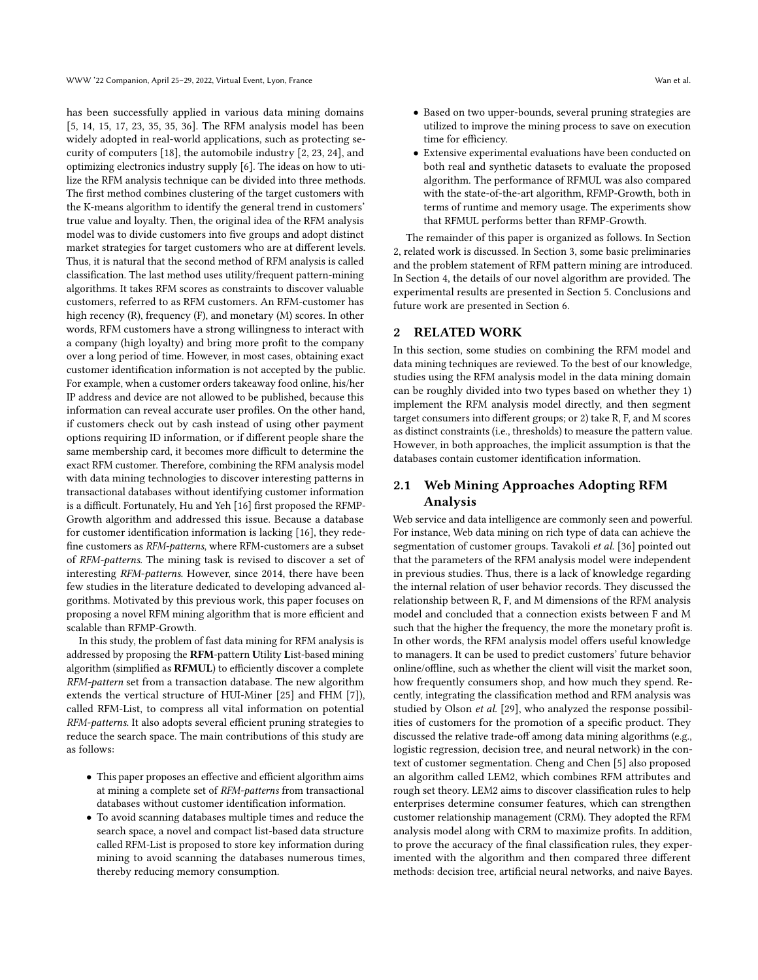has been successfully applied in various data mining domains [\[5,](#page-7-13) [14,](#page-7-14) [15,](#page-7-15) [17,](#page-7-16) [23,](#page-7-17) [35,](#page-7-18) [35,](#page-7-18) [36\]](#page-7-19). The RFM analysis model has been widely adopted in real-world applications, such as protecting security of computers [\[18\]](#page-7-20), the automobile industry [\[2,](#page-7-21) [23,](#page-7-17) [24\]](#page-7-22), and optimizing electronics industry supply [\[6\]](#page-7-23). The ideas on how to utilize the RFM analysis technique can be divided into three methods. The first method combines clustering of the target customers with the K-means algorithm to identify the general trend in customers' true value and loyalty. Then, the original idea of the RFM analysis model was to divide customers into five groups and adopt distinct market strategies for target customers who are at different levels. Thus, it is natural that the second method of RFM analysis is called classification. The last method uses utility/frequent pattern-mining algorithms. It takes RFM scores as constraints to discover valuable customers, referred to as RFM customers. An RFM-customer has high recency (R), frequency (F), and monetary (M) scores. In other words, RFM customers have a strong willingness to interact with a company (high loyalty) and bring more profit to the company over a long period of time. However, in most cases, obtaining exact customer identification information is not accepted by the public. For example, when a customer orders takeaway food online, his/her IP address and device are not allowed to be published, because this information can reveal accurate user profiles. On the other hand, if customers check out by cash instead of using other payment options requiring ID information, or if different people share the same membership card, it becomes more difficult to determine the exact RFM customer. Therefore, combining the RFM analysis model with data mining technologies to discover interesting patterns in transactional databases without identifying customer information is a difficult. Fortunately, Hu and Yeh [\[16\]](#page-7-24) first proposed the RFMP-Growth algorithm and addressed this issue. Because a database for customer identification information is lacking [\[16\]](#page-7-24), they redefine customers as RFM-patterns, where RFM-customers are a subset of RFM-patterns. The mining task is revised to discover a set of interesting RFM-patterns. However, since 2014, there have been few studies in the literature dedicated to developing advanced algorithms. Motivated by this previous work, this paper focuses on proposing a novel RFM mining algorithm that is more efficient and scalable than RFMP-Growth.

In this study, the problem of fast data mining for RFM analysis is addressed by proposing the RFM-pattern Utility List-based mining algorithm (simplified as RFMUL) to efficiently discover a complete RFM-pattern set from a transaction database. The new algorithm extends the vertical structure of HUI-Miner [\[25\]](#page-7-25) and FHM [\[7\]](#page-7-26)), called RFM-List, to compress all vital information on potential RFM-patterns. It also adopts several efficient pruning strategies to reduce the search space. The main contributions of this study are as follows:

- This paper proposes an effective and efficient algorithm aims at mining a complete set of RFM-patterns from transactional databases without customer identification information.
- To avoid scanning databases multiple times and reduce the search space, a novel and compact list-based data structure called RFM-List is proposed to store key information during mining to avoid scanning the databases numerous times, thereby reducing memory consumption.
- Based on two upper-bounds, several pruning strategies are utilized to improve the mining process to save on execution time for efficiency.
- Extensive experimental evaluations have been conducted on both real and synthetic datasets to evaluate the proposed algorithm. The performance of RFMUL was also compared with the state-of-the-art algorithm, RFMP-Growth, both in terms of runtime and memory usage. The experiments show that RFMUL performs better than RFMP-Growth.

The remainder of this paper is organized as follows. In Section [2,](#page-1-0) related work is discussed. In Section [3,](#page-2-0) some basic preliminaries and the problem statement of RFM pattern mining are introduced. In Section [4,](#page-3-0) the details of our novel algorithm are provided. The experimental results are presented in Section [5.](#page-5-0) Conclusions and future work are presented in Section [6.](#page-7-27)

## <span id="page-1-0"></span>**RELATED WORK**

In this section, some studies on combining the RFM model and data mining techniques are reviewed. To the best of our knowledge, studies using the RFM analysis model in the data mining domain can be roughly divided into two types based on whether they 1) implement the RFM analysis model directly, and then segment target consumers into different groups; or 2) take R, F, and M scores as distinct constraints (i.e., thresholds) to measure the pattern value. However, in both approaches, the implicit assumption is that the databases contain customer identification information.

# 2.1 Web Mining Approaches Adopting RFM Analysis

Web service and data intelligence are commonly seen and powerful. For instance, Web data mining on rich type of data can achieve the segmentation of customer groups. Tavakoli et al. [\[36\]](#page-7-19) pointed out that the parameters of the RFM analysis model were independent in previous studies. Thus, there is a lack of knowledge regarding the internal relation of user behavior records. They discussed the relationship between R, F, and M dimensions of the RFM analysis model and concluded that a connection exists between F and M such that the higher the frequency, the more the monetary profit is. In other words, the RFM analysis model offers useful knowledge to managers. It can be used to predict customers' future behavior online/offline, such as whether the client will visit the market soon, how frequently consumers shop, and how much they spend. Recently, integrating the classification method and RFM analysis was studied by Olson et al. [\[29\]](#page-7-28), who analyzed the response possibilities of customers for the promotion of a specific product. They discussed the relative trade-off among data mining algorithms (e.g., logistic regression, decision tree, and neural network) in the context of customer segmentation. Cheng and Chen [\[5\]](#page-7-13) also proposed an algorithm called LEM2, which combines RFM attributes and rough set theory. LEM2 aims to discover classification rules to help enterprises determine consumer features, which can strengthen customer relationship management (CRM). They adopted the RFM analysis model along with CRM to maximize profits. In addition, to prove the accuracy of the final classification rules, they experimented with the algorithm and then compared three different methods: decision tree, artificial neural networks, and naive Bayes.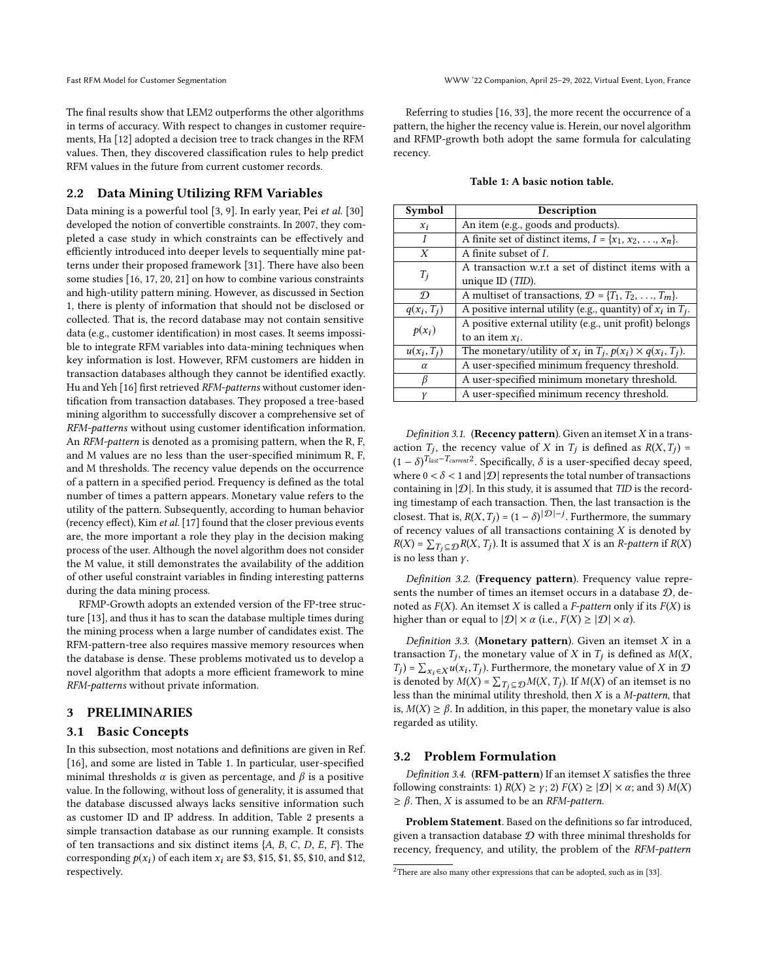The final results show that LEM2 outperforms the other algorithms in terms of accuracy. With respect to changes in customer requirements, Ha [\[12\]](#page-7-9) adopted a decision tree to track changes in the RFM values. Then, they discovered classification rules to help predict RFM values in the future from current customer records.

## 2.2 Data Mining Utilizing RFM Variables

Data mining is a powerful tool [\[3,](#page-7-29) [9\]](#page-7-30). In early year, Pei et al. [\[30\]](#page-7-31) developed the notion of convertible constraints. In 2007, they completed a case study in which constraints can be effectively and efficiently introduced into deeper levels to sequentially mine patterns under their proposed framework [\[31\]](#page-7-32). There have also been some studies [\[16,](#page-7-24) [17,](#page-7-16) [20,](#page-7-7) [21\]](#page-7-33) on how to combine various constraints and high-utility pattern mining. However, as discussed in Section [1,](#page-0-1) there is plenty of information that should not be disclosed or collected. That is, the record database may not contain sensitive data (e.g., customer identification) in most cases. It seems impossible to integrate RFM variables into data-mining techniques when key information is lost. However, RFM customers are hidden in transaction databases although they cannot be identified exactly. Hu and Yeh [\[16\]](#page-7-24) first retrieved RFM-patterns without customer identification from transaction databases. They proposed a tree-based mining algorithm to successfully discover a comprehensive set of RFM-patterns without using customer identification information. An RFM-pattern is denoted as a promising pattern, when the R, F, and M values are no less than the user-specified minimum R, F, and M thresholds. The recency value depends on the occurrence of a pattern in a specified period. Frequency is defined as the total number of times a pattern appears. Monetary value refers to the utility of the pattern. Subsequently, according to human behavior (recency effect), Kim et al. [\[17\]](#page-7-16) found that the closer previous events are, the more important a role they play in the decision making process of the user. Although the novel algorithm does not consider the M value, it still demonstrates the availability of the addition of other useful constraint variables in finding interesting patterns during the data mining process.

RFMP-Growth adopts an extended version of the FP-tree structure [\[13\]](#page-7-34), and thus it has to scan the database multiple times during the mining process when a large number of candidates exist. The RFM-pattern-tree also requires massive memory resources when the database is dense. These problems motivated us to develop a novel algorithm that adopts a more efficient framework to mine RFM-patterns without private information.

#### <span id="page-2-0"></span>3 PRELIMINARIES

### 3.1 Basic Concepts

In this subsection, most notations and definitions are given in Ref. [\[16\]](#page-7-24), and some are listed in Table [1.](#page-2-1) In particular, user-specified minimal thresholds  $\alpha$  is given as percentage, and  $\beta$  is a positive value. In the following, without loss of generality, it is assumed that the database discussed always lacks sensitive information such as customer ID and IP address. In addition, Table [2](#page-3-1) presents a simple transaction database as our running example. It consists of ten transactions and six distinct items  $\{A, B, C, D, E, F\}$ . The corresponding  $p(x_i)$  of each item  $x_i$  are \$3, \$15, \$1, \$5, \$10, and \$12, respectively.

Referring to studies [\[16,](#page-7-24) [33\]](#page-7-35), the more recent the occurrence of a pattern, the higher the recency value is. Herein, our novel algorithm and RFMP-growth both adopt the same formula for calculating recency.

|  |  |  | Table 1: A basic notion table. |  |
|--|--|--|--------------------------------|--|
|--|--|--|--------------------------------|--|

<span id="page-2-1"></span>

| Symbol        | Description                                                             |
|---------------|-------------------------------------------------------------------------|
| $x_i$         | An item (e.g., goods and products).                                     |
|               | A finite set of distinct items, $I = \{x_1, x_2, \ldots, x_n\}.$        |
| X             | A finite subset of $I$ .                                                |
| $T_i$         | A transaction w.r.t a set of distinct items with a                      |
|               | unique ID $(TID)$ .                                                     |
| D             | A multiset of transactions, $\mathcal{D} = \{T_1, T_2, \ldots, T_m\}$ . |
| $q(x_i, T_j)$ | A positive internal utility (e.g., quantity) of $x_i$ in $T_i$ .        |
| $p(x_i)$      | A positive external utility (e.g., unit profit) belongs                 |
|               | to an item $x_i$ .                                                      |
| $u(x_i,T_i)$  | The monetary/utility of $x_i$ in $T_j$ , $p(x_i) \times q(x_i, T_j)$ .  |
| $\alpha$      | A user-specified minimum frequency threshold.                           |
| β             | A user-specified minimum monetary threshold.                            |
| Υ             | A user-specified minimum recency threshold.                             |

Definition 3.1. (Recency pattern). Given an itemset  $X$  in a transaction  $T_j$ , the recency value of X in  $T_j$  is defined as  $R(X, T_j) =$ <br>  $(1 - x)^{T_{last} - T_{current}2}$  Sposifically, & is a year grassified decay graced  $(1 - \delta)^{T_{last}-T_{current}2}$  $(1 - \delta)^{T_{last}-T_{current}2}$  $(1 - \delta)^{T_{last}-T_{current}2}$ . Specifically,  $\delta$  is a user-specified decay speed, where  $0 < \delta < 1$  and  $|\mathcal{D}|$  represents the total number of transactions containing in  $|\mathcal{D}|$ . In this study, it is assumed that TID is the recording timestamp of each transaction. Then, the last transaction is the closest. That is,  $R(X, T_j) = (1 - \delta)^{|\mathcal{D}| - j}$ . Furthermore, the summary of recency values of all transactions containing  $X$  is denoted by  $R(X) = \sum_{T_j \subseteq \mathcal{D}} R(X, T_j)$ . It is assumed that X is an *R-pattern* if  $R(X)$  is no less than  $Y$ is no less than  $\gamma$ .

Definition 3.2. (Frequency pattern). Frequency value represents the number of times an itemset occurs in a database  $\mathcal{D}$ , denoted as  $F(X)$ . An itemset X is called a F-pattern only if its  $F(X)$  is higher than or equal to  $|\mathcal{D}| \times \alpha$  (i.e.,  $F(X) \geq |\mathcal{D}| \times \alpha$ ).

Definition 3.3. (Monetary pattern). Given an itemset  $X$  in a transaction  $T_j$ , the monetary value of X in  $T_j$  is defined as  $M(X, T_j) = \sum_{x \in \mathcal{U}} (x, T_j)$ . Eurthermore, the monetary value of X in  $\Omega$  $T_j$ ) =  $\sum_{x_i \in X} u(x_i, T_j)$ . Furthermore, the monetary value of X in  $\mathcal{D}$  is denoted by  $M(X)$  –  $\sum_{x_i \in \mathcal{D}} M(X, T_i)$  if  $M(X)$  of an itemset is no is denoted by  $M(X) = \sum_{T_j \subseteq \mathcal{D}} M(X, T_j)$ . If  $M(X)$  of an itemset is no<br>less than the minimal utility threshold, then X is a M-pattern that less than the minimal utility threshold, then  $X$  is a *M-pattern*, that is,  $M(X) \ge \beta$ . In addition, in this paper, the monetary value is also regarded as utility.

## <span id="page-2-3"></span>3.2 Problem Formulation

Definition 3.4. ( $RFM$ -pattern) If an itemset  $X$  satisfies the three following constraints: 1)  $R(X) \ge \gamma$ ; 2)  $F(X) \ge |D| \times \alpha$ ; and 3)  $M(X)$  $\geq \beta$ . Then, *X* is assumed to be an *RFM-pattern*.

Problem Statement. Based on the definitions so far introduced, given a transaction database  $D$  with three minimal thresholds for recency, frequency, and utility, the problem of the RFM-pattern

<span id="page-2-2"></span><sup>&</sup>lt;sup>2</sup>There are also many other expressions that can be adopted, such as in [\[33\]](#page-7-35).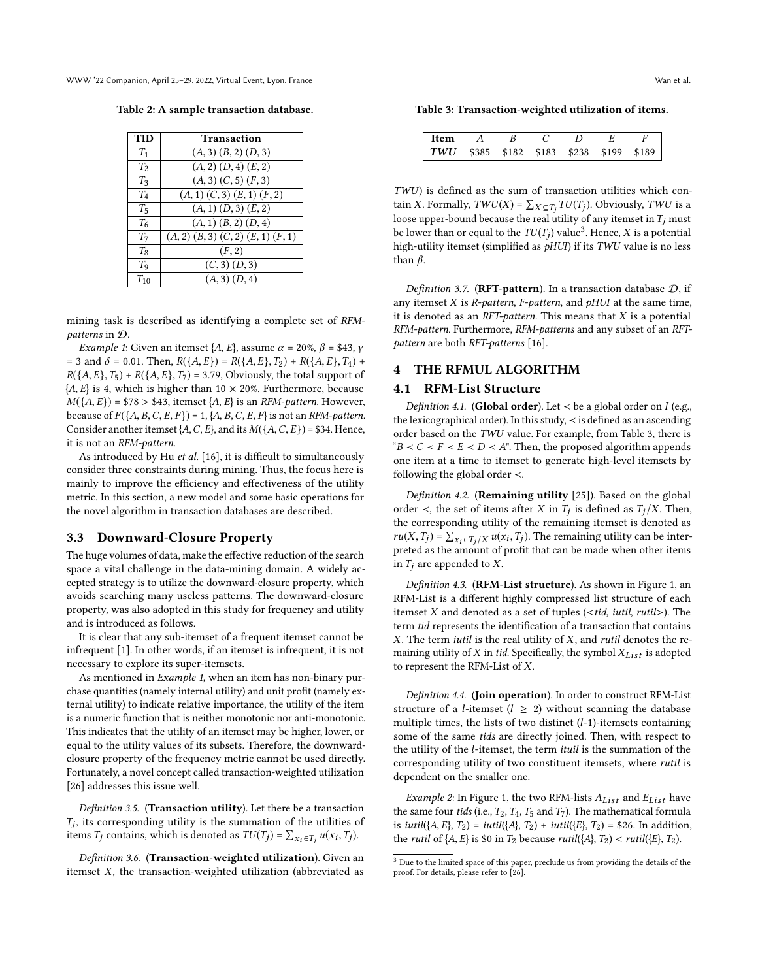<span id="page-3-1"></span>WWW '22 Companion, April 25–29, 2022, Virtual Event, Lyon, France Wan et al.

Table 2: A sample transaction database.

| <b>TID</b>     | Transaction                                  |
|----------------|----------------------------------------------|
| $T_1$          | $(A,3)$ $(B,2)$ $(D,3)$                      |
| T <sub>2</sub> | $(A, 2)$ $(D, 4)$ $(E, 2)$                   |
| $T_3$          | $(A, 3)$ $(C, 5)$ $(F, 3)$                   |
| $T_4$          | $(A, 1)$ $(C, 3)$ $(E, 1)$ $(F, 2)$          |
| $T_5$          | $(A, 1)$ $(D, 3)$ $(E, 2)$                   |
| T <sub>6</sub> | $(A, 1)$ $(B, 2)$ $(D, 4)$                   |
| T <sub>7</sub> | $(A, 2)$ $(B, 3)$ $(C, 2)$ $(E, 1)$ $(F, 1)$ |
| $T_8$          | (F, 2)                                       |
| T <sub>9</sub> | $(C, 3)$ $(D, 3)$                            |
| $T_{10}$       | $(A, 3)$ $(D, 4)$                            |
|                |                                              |

mining task is described as identifying a complete set of RFMpatterns in D.

*Example 1*: Given an itemset  $\{A, E\}$ , assume  $\alpha = 20\%$ ,  $\beta = $43$ ,  $\gamma$ = 3 and  $\delta$  = 0.01. Then,  $R({A, E}) = R({A, E}, T_2) + R({A, E}, T_4) +$  $R({A, E}, T_5) + R({A, E}, T_7) = 3.79$ , Obviously, the total support of  ${A, E}$  is 4, which is higher than 10  $\times$  20%. Furthermore, because  $M({A, E})$  = \$78 > \$43, itemset  ${A, E}$  is an *RFM-pattern*. However, because of  $F({A, B, C, E, F}) = 1, {A, B, C, E, F}$  is not an RFM-pattern. Consider another itemset  $\{A, C, E\}$ , and its  $M(\{A, C, E\}) = $34$ . Hence, it is not an RFM-pattern.

As introduced by Hu et al. [\[16\]](#page-7-24), it is difficult to simultaneously consider three constraints during mining. Thus, the focus here is mainly to improve the efficiency and effectiveness of the utility metric. In this section, a new model and some basic operations for the novel algorithm in transaction databases are described.

#### 3.3 Downward-Closure Property

The huge volumes of data, make the effective reduction of the search space a vital challenge in the data-mining domain. A widely accepted strategy is to utilize the downward-closure property, which avoids searching many useless patterns. The downward-closure property, was also adopted in this study for frequency and utility and is introduced as follows.

It is clear that any sub-itemset of a frequent itemset cannot be infrequent [\[1\]](#page-7-1). In other words, if an itemset is infrequent, it is not necessary to explore its super-itemsets.

As mentioned in *Example 1*, when an item has non-binary purchase quantities (namely internal utility) and unit profit (namely external utility) to indicate relative importance, the utility of the item is a numeric function that is neither monotonic nor anti-monotonic. This indicates that the utility of an itemset may be higher, lower, or equal to the utility values of its subsets. Therefore, the downwardclosure property of the frequency metric cannot be used directly. Fortunately, a novel concept called transaction-weighted utilization [\[26\]](#page-7-36) addresses this issue well.

Definition 3.5. (Transaction utility). Let there be a transaction  $T_j$ , its corresponding utility is the summation of the utilities of items  $T_i$  contains which is denoted as  $T_i(T_i) = \sum_{i=1}^{n} T_i(T_i)$ items  $T_j$  contains, which is denoted as  $TU(T_j) = \sum_{x_i \in T_j} u(x_i, T_j)$ .

Definition 3.6. (Transaction-weighted utilization). Given an itemset  $X$ , the transaction-weighted utilization (abbreviated as <span id="page-3-3"></span>Table 3: Transaction-weighted utilization of items.

| Item                                          |  |  |       |
|-----------------------------------------------|--|--|-------|
| $\mid TWU \mid$ \$385 \$182 \$183 \$238 \$199 |  |  | \$189 |

TWU) is defined as the sum of transaction utilities which contain X. Formally,  $TWU(X) = \sum_{X \subseteq T_j} TU(T_j)$ . Obviously,  $TWU$  is a loose upper-bound because the real utility of any itemset in T. must loose upper-bound because the real utility of any itemset in  $T_j$  must be lower than or equal to the  $TU(T_j)$  value<sup>[3](#page-3-2)</sup>. Hence, X is a potential<br>bigh utility itemset (cimplified as  $\kappa H(T)$  if ite  $TWI$  value is no loss high-utility itemset (simplified as  $pHUI$ ) if its TWU value is no less than  $\beta$ .

Definition 3.7. (RFT-pattern). In a transaction database  $D$ , if any itemset  $X$  is  $R$ -pattern,  $F$ -pattern, and  $pHU$  at the same time, it is denoted as an RFT-pattern. This means that  $X$  is a potential RFM-pattern. Furthermore, RFM-patterns and any subset of an RFTpattern are both RFT-patterns [\[16\]](#page-7-24).

# <span id="page-3-0"></span>4 THE RFMUL ALGORITHM

#### 4.1 RFM-List Structure

Definition 4.1. (Global order). Let  $\prec$  be a global order on I (e.g., the lexicographical order). In this study, ≺ is defined as an ascending order based on the TWU value. For example, from Table [3,](#page-3-3) there is " $B \prec C \prec F \prec E \prec D \prec A$ ". Then, the proposed algorithm appends one item at a time to itemset to generate high-level itemsets by following the global order ≺.

Definition 4.2. (Remaining utility [\[25\]](#page-7-25)). Based on the global order  $\prec$ , the set of items after X in  $T_j$  is defined as  $T_j/X$ . Then, the corresponding utility of the remaining itemset is denoted as the corresponding utility of the remaining itemset is denoted as  $ru(X, T_j) = \sum_{X_i \in T_j/X} u(x_i, T_j)$ . The remaining utility can be inter-<br>preted as the amount of profit that can be made when other items preted as the amount of profit that can be made when other items in  $T_i$  are appended to  $X$ .

Definition 4.3. (RFM-List structure). As shown in Figure [1,](#page-4-0) an RFM-List is a different highly compressed list structure of each itemset  $X$  and denoted as a set of tuples (<tid, iutil, rutil>). The term tid represents the identification of a transaction that contains  $X$ . The term *iutil* is the real utility of  $X$ , and *rutil* denotes the remaining utility of  $X$  in tid. Specifically, the symbol  $X_{List}$  is adopted to represent the RFM-List of X.

Definition 4.4. (Join operation). In order to construct RFM-List structure of a *l*-itemset ( $l \geq 2$ ) without scanning the database multiple times, the lists of two distinct  $(l-1)$ -itemsets containing some of the same tids are directly joined. Then, with respect to the utility of the *l*-itemset, the term *ituil* is the summation of the corresponding utility of two constituent itemsets, where rutil is dependent on the smaller one.

*Example 2*: In Figure [1,](#page-4-0) the two RFM-lists  $A_{List}$  and  $E_{List}$  have the same four tids (i.e.,  $T_2$ ,  $T_4$ ,  $T_5$  and  $T_7$ ). The mathematical formula is *iutil*({ $A, E$ },  $T_2$ ) = *iutil*({ $A$ },  $T_2$ ) + *iutil*({ $E$ },  $T_2$ ) = \$26. In addition, the rutil of  $\{A, E\}$  is \$0 in  $T_2$  because rutil( $\{A\}$ ,  $T_2$ ) < rutil( $\{E\}$ ,  $T_2$ ).

<span id="page-3-2"></span> $^3$  Due to the limited space of this paper, preclude us from providing the details of the proof. For details, please refer to [\[26\]](#page-7-36).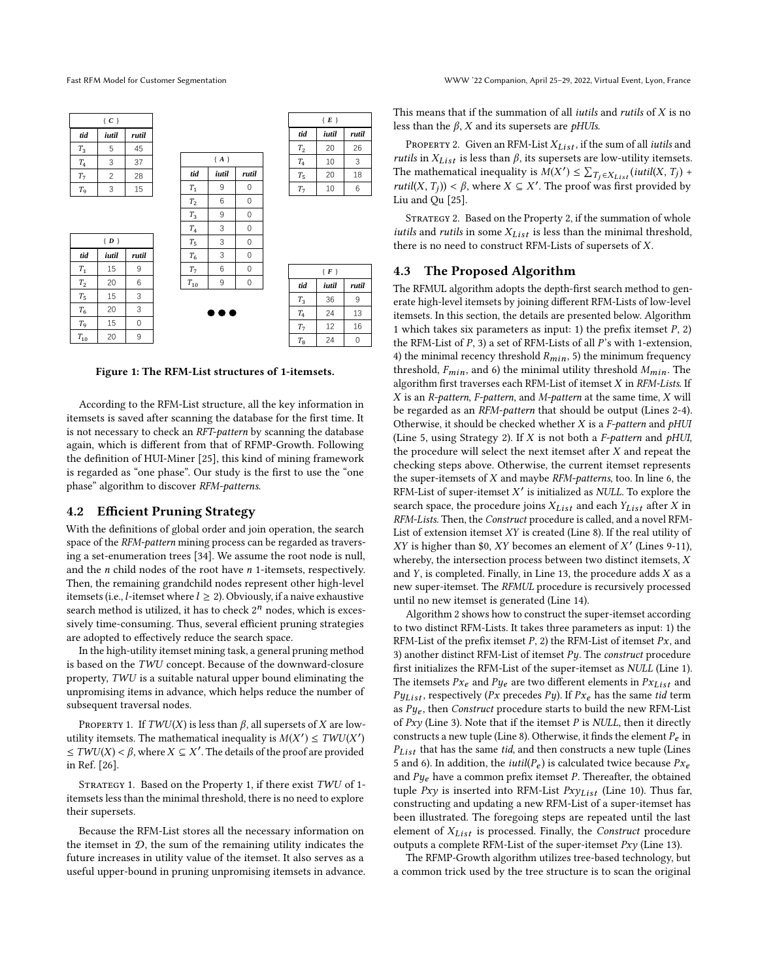<span id="page-4-0"></span>

|                | $\{C\}$        |             |                |                         |          |                | $\{E\}$ |       |
|----------------|----------------|-------------|----------------|-------------------------|----------|----------------|---------|-------|
| tid            | iutil          | rutil       |                |                         |          | tid            | iutil   | rutil |
| $T_3$          | 5              | 45          |                |                         |          | T <sub>2</sub> | 20      | 26    |
| $T_4$          | 3              | 37          |                | ${A}$                   |          | $T_4$          | 10      | 3     |
| T <sub>7</sub> | $\overline{c}$ | 28          | tid            | iutil                   | rutil    | $T_5$          | 20      | 18    |
| $T_{9}$        | 3              | 15          | $T_1$          | 9                       | 0        | T <sub>7</sub> | 10      | 6     |
|                |                |             | T <sub>2</sub> | 6                       | 0        |                |         |       |
|                |                |             | $T_3$          | 9                       | 0        |                |         |       |
|                |                |             | $T_4$          | 3                       | 0        |                |         |       |
|                | $\{ D \}$      |             | $T_5$          | 3                       | $\Omega$ |                |         |       |
| tid            | iutil          | rutil       | $T_6$          | 3                       | 0        |                |         |       |
| $T_1$          | 15             | 9           | T <sub>7</sub> | 6                       | 0        |                | $\{F\}$ |       |
| $T_2$          | 20             | 6           | $T_{10}$       | 9                       | 0        | tid            | iutil   | rutil |
| $T_5$          | 15             | 3           |                |                         |          | $T_3$          | 36      | 9     |
| $T_6$          | 20             | 3           |                | $\bullet\bullet\bullet$ |          | $T_4$          | 24      | 13    |
| T <sub>9</sub> | 15             | $\mathbf 0$ |                |                         |          | $T_7$          | 12      | 16    |
| $T_{10}$       | 20             | 9           |                |                         |          | $T_{8}$        | 24      | 0     |

Figure 1: The RFM-List structures of 1-itemsets.

According to the RFM-List structure, all the key information in itemsets is saved after scanning the database for the first time. It is not necessary to check an RFT-pattern by scanning the database again, which is different from that of RFMP-Growth. Following the definition of HUI-Miner [\[25\]](#page-7-25), this kind of mining framework is regarded as "one phase". Our study is the first to use the "one phase" algorithm to discover RFM-patterns.

#### 4.2 Efficient Pruning Strategy

With the definitions of global order and join operation, the search space of the RFM-pattern mining process can be regarded as traversing a set-enumeration trees [\[34\]](#page-7-37). We assume the root node is null, and the  $n$  child nodes of the root have  $n$  1-itemsets, respectively. Then, the remaining grandchild nodes represent other high-level itemsets (i.e., *l*-itemset where  $l \geq 2$ ). Obviously, if a naive exhaustive search method is utilized, it has to check  $2^n$  nodes, which is excessively time-consuming. Thus, several efficient pruning strategies are adopted to effectively reduce the search space.

In the high-utility itemset mining task, a general pruning method is based on the TWU concept. Because of the downward-closure property, TWU is a suitable natural upper bound eliminating the unpromising items in advance, which helps reduce the number of subsequent traversal nodes.

<span id="page-4-1"></span>PROPERTY 1. If  $TWU(X)$  is less than  $\beta$ , all supersets of X are lowutility itemsets. The mathematical inequality is  $M(X') \le TWU(X')$  $\leq TWU(X) < \beta$ , where  $X \subseteq X'$ . The details of the proof are provided in Pef [26] in Ref. [\[26\]](#page-7-36).

STRATEGY 1. Based on the Property [1,](#page-4-1) if there exist TWU of 1itemsets less than the minimal threshold, there is no need to explore their supersets.

Because the RFM-List stores all the necessary information on the itemset in  $D$ , the sum of the remaining utility indicates the future increases in utility value of the itemset. It also serves as a useful upper-bound in pruning unpromising itemsets in advance. This means that if the summation of all *iutils* and *rutils* of  $X$  is no less than the  $\beta$ , X and its supersets are *pHUIs*.

<span id="page-4-2"></span>PROPERTY 2. Given an RFM-List  $X_{List}$ , if the sum of all *iutils* and *rutils* in  $X_{List}$  is less than  $\beta$ , its supersets are low-utility itemsets. The mathematical inequality is  $M(X') \leq \sum_{T_j \in X_{Liss}} (iutil(X, T_j) + \text{rutil}(X, T_j)) < \beta$  where  $X \subseteq Y'$ . The proof was first provided by rutil(X, T<sub>j</sub>)) <  $\beta$ , where  $X \subseteq X'$ . The proof was first provided by I in and Ou [25] Liu and Qu [\[25\]](#page-7-25).

<span id="page-4-3"></span>STRATEGY 2. Based on the Property [2,](#page-4-2) if the summation of whole iutils and rutils in some  $X_{List}$  is less than the minimal threshold, there is no need to construct RFM-Lists of supersets of X.

# 4.3 The Proposed Algorithm

The RFMUL algorithm adopts the depth-first search method to generate high-level itemsets by joining different RFM-Lists of low-level itemsets. In this section, the details are presented below. Algorithm [1](#page-5-1) which takes six parameters as input: 1) the prefix itemset  $P$ , 2) the RFM-List of P, 3) a set of RFM-Lists of all P's with 1-extension, 4) the minimal recency threshold  $R_{min}$ , 5) the minimum frequency threshold,  $F_{min}$ , and 6) the minimal utility threshold  $M_{min}$ . The algorithm first traverses each RFM-List of itemset  $X$  in  $RFM\text{-}Lists$ . If  $X$  is an R-pattern, F-pattern, and M-pattern at the same time,  $X$  will be regarded as an RFM-pattern that should be output (Lines 2-4). Otherwise, it should be checked whether  $X$  is a  $F$ -pattern and pHUI (Line 5, using Strategy [2\)](#page-4-3). If  $X$  is not both a *F-pattern* and  $pHU$ , the procedure will select the next itemset after X and repeat the checking steps above. Otherwise, the current itemset represents the super-itemsets of  $X$  and maybe  $RFM$ -patterns, too. In line 6, the RFM-List of super-itemset  $X'$  is initialized as NULL. To explore the search space, the procedure joins  $X_{List}$  and each  $Y_{List}$  after X in RFM-Lists. Then, the Construct procedure is called, and a novel RFM-List of extension itemset XY is created (Line 8). If the real utility of  $XY$  is higher than \$0,  $XY$  becomes an element of  $X'$  (Lines 9-11), whereby, the intersection process between two distinct itemsets, X and  $Y$ , is completed. Finally, in Line 13, the procedure adds  $X$  as a new super-itemset. The RFMUL procedure is recursively processed until no new itemset is generated (Line 14).

Algorithm [2](#page-5-2) shows how to construct the super-itemset according to two distinct RFM-Lists. It takes three parameters as input: 1) the RFM-List of the prefix itemset  $P$ , 2) the RFM-List of itemset  $Px$ , and 3) another distinct RFM-List of itemset  $Py$ . The *construct* procedure first initializes the RFM-List of the super-itemset as NULL (Line 1). The itemsets  $Px_e$  and  $Py_e$  are two different elements in  $Px_{List}$  and  $Py_{List}$ , respectively (Px precedes Py). If  $Px_e$  has the same tid term as  $Py_e$ , then Construct procedure starts to build the new RFM-List of  $Pxy$  (Line 3). Note that if the itemset P is NULL, then it directly constructs a new tuple (Line 8). Otherwise, it finds the element  $P_e$  in  $P_{List}$  that has the same tid, and then constructs a new tuple (Lines 5 and 6). In addition, the *iutil*( $P_e$ ) is calculated twice because  $Px_e$ and  $Py_e$  have a common prefix itemset P. Thereafter, the obtained tuple  $Pxy$  is inserted into RFM-List  $Pxy_{List}$  (Line 10). Thus far, constructing and updating a new RFM-List of a super-itemset has been illustrated. The foregoing steps are repeated until the last element of  $X_{List}$  is processed. Finally, the *Construct* procedure outputs a complete RFM-List of the super-itemset  $Pxy$  (Line 13).

The RFMP-Growth algorithm utilizes tree-based technology, but a common trick used by the tree structure is to scan the original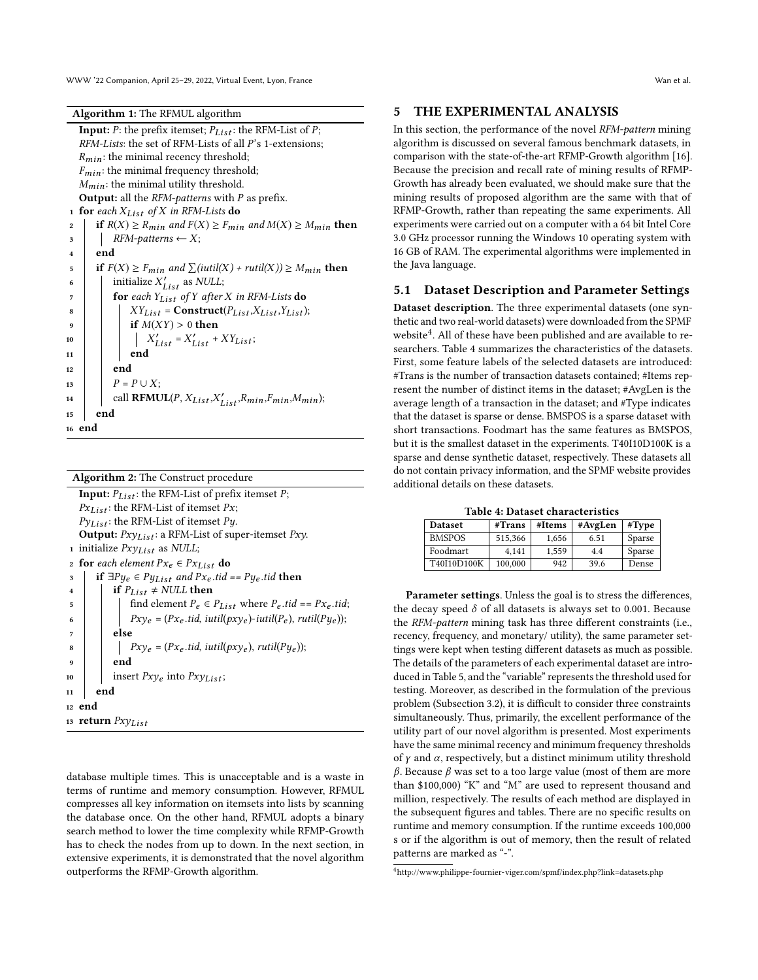WWW '22 Companion, April 25–29, 2022, Virtual Event, Lyon, France Wan et al.

| Algorithm 1: The RFMUL algorithm |  |  |
|----------------------------------|--|--|
|                                  |  |  |

<span id="page-5-1"></span>

<span id="page-5-2"></span>

| <b>Algorithm 2:</b> The Construct procedure                                            |
|----------------------------------------------------------------------------------------|
| <b>Input:</b> $P_{List}$ : the RFM-List of prefix itemset P;                           |
| $Px_{List}$ : the RFM-List of itemset $Px$ ;                                           |
| $P_{VList}$ : the RFM-List of itemset Py.                                              |
| <b>Output:</b> $Pxy_{List}$ : a RFM-List of super-itemset $Pxy$ .                      |
| 1 initialize $Pxy_{List}$ as NULL;                                                     |
| <b>for</b> each element $Px_e \in Px_{List}$ do<br>$\overline{2}$                      |
| <b>if</b> $\exists P y_e \in P y_{List}$ and $Px_e$ tid == $Py_e$ tid <b>then</b><br>3 |
| if $P_{List} \neq NULL$ then<br>$\overline{\mathbf{4}}$                                |
| find element $P_e \in P_{List}$ where $P_e$ tid == $Px_e$ tid;<br>5                    |
| $Pxy_e = (Px_e. tid, iutil(pxy_e)-iutil(P_e), rutil(Pye));$<br>6                       |
| else<br>7                                                                              |
| $Pxy_e = (Px_e.tid, ititl(pxy_e), rutil(Pye));$<br>8                                   |
| end<br>9                                                                               |
| insert $Pxy_e$ into $Pxy_{List}$ ;<br>10                                               |
| end<br>11                                                                              |
| 12 end                                                                                 |
| 13 <b>return</b> $Pxy_{List}$                                                          |
|                                                                                        |
|                                                                                        |

database multiple times. This is unacceptable and is a waste in terms of runtime and memory consumption. However, RFMUL compresses all key information on itemsets into lists by scanning the database once. On the other hand, RFMUL adopts a binary search method to lower the time complexity while RFMP-Growth has to check the nodes from up to down. In the next section, in extensive experiments, it is demonstrated that the novel algorithm outperforms the RFMP-Growth algorithm.

# <span id="page-5-0"></span>5 THE EXPERIMENTAL ANALYSIS

In this section, the performance of the novel RFM-pattern mining algorithm is discussed on several famous benchmark datasets, in comparison with the state-of-the-art RFMP-Growth algorithm [\[16\]](#page-7-24). Because the precision and recall rate of mining results of RFMP-Growth has already been evaluated, we should make sure that the mining results of proposed algorithm are the same with that of RFMP-Growth, rather than repeating the same experiments. All experiments were carried out on a computer with a 64 bit Intel Core 3.0 GHz processor running the Windows 10 operating system with 16 GB of RAM. The experimental algorithms were implemented in the Java language.

#### 5.1 Dataset Description and Parameter Settings

Dataset description. The three experimental datasets (one synthetic and two real-world datasets) were downloaded from the SPMF website<sup>[4](#page-5-3)</sup>. All of these have been published and are available to researchers. Table [4](#page-5-4) summarizes the characteristics of the datasets. First, some feature labels of the selected datasets are introduced: #Trans is the number of transaction datasets contained; #Items represent the number of distinct items in the dataset; #AvgLen is the average length of a transaction in the dataset; and #Type indicates that the dataset is sparse or dense. BMSPOS is a sparse dataset with short transactions. Foodmart has the same features as BMSPOS, but it is the smallest dataset in the experiments. T40I10D100K is a sparse and dense synthetic dataset, respectively. These datasets all do not contain privacy information, and the SPMF website provides additional details on these datasets.

Table 4: Dataset characteristics

<span id="page-5-4"></span>

| <b>Dataset</b> | #Trans  | #Items | #AvgLen | #Type  |
|----------------|---------|--------|---------|--------|
| <b>BMSPOS</b>  | 515.366 | 1.656  | 6.51    | Sparse |
| Foodmart       | 4.141   | 1.559  | 4.4     | Sparse |
| T40I10D100K    | 100,000 | 942    | 39.6    | Dense  |

Parameter settings. Unless the goal is to stress the differences, the decay speed  $\delta$  of all datasets is always set to 0.001. Because the RFM-pattern mining task has three different constraints (i.e., recency, frequency, and monetary/ utility), the same parameter settings were kept when testing different datasets as much as possible. The details of the parameters of each experimental dataset are introduced in Table [5,](#page-6-0) and the "variable" represents the threshold used for testing. Moreover, as described in the formulation of the previous problem (Subsection [3.2\)](#page-2-3), it is difficult to consider three constraints simultaneously. Thus, primarily, the excellent performance of the utility part of our novel algorithm is presented. Most experiments have the same minimal recency and minimum frequency thresholds of  $\gamma$  and  $\alpha$ , respectively, but a distinct minimum utility threshold β. Because β was set to a too large value (most of them are more than \$100,000) "K" and "M" are used to represent thousand and million, respectively. The results of each method are displayed in the subsequent figures and tables. There are no specific results on runtime and memory consumption. If the runtime exceeds 100,000 s or if the algorithm is out of memory, then the result of related patterns are marked as "-".

<span id="page-5-3"></span><sup>4</sup><http://www.philippe-fournier-viger.com/spmf/index.php?link=datasets.php>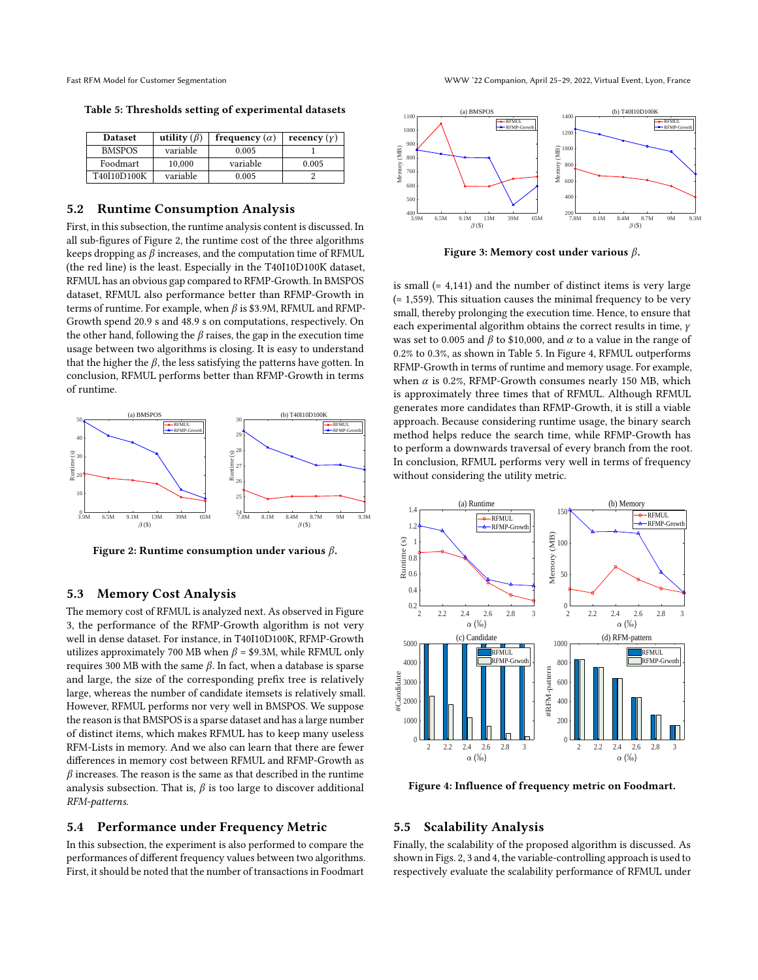<span id="page-6-0"></span>

| <b>Dataset</b> | utility $(\beta)$ | frequency $(\alpha)$ | recency $(y)$ |
|----------------|-------------------|----------------------|---------------|
| <b>BMSPOS</b>  | variable          | 0.005                |               |
| Foodmart       | 10,000            | variable             | 0.005         |
| T40I10D100K    | variable          | 0.005                |               |

#### Table 5: Thresholds setting of experimental datasets

#### 5.2 Runtime Consumption Analysis

First, in this subsection, the runtime analysis content is discussed. In all sub-figures of Figure [2,](#page-6-1) the runtime cost of the three algorithms keeps dropping as  $\beta$  increases, and the computation time of RFMUL (the red line) is the least. Especially in the T40I10D100K dataset, RFMUL has an obvious gap compared to RFMP-Growth. In BMSPOS dataset, RFMUL also performance better than RFMP-Growth in terms of runtime. For example, when  $\beta$  is \$3.9M, RFMUL and RFMP-Growth spend 20.9 s and 48.9 s on computations, respectively. On the other hand, following the  $\beta$  raises, the gap in the execution time usage between two algorithms is closing. It is easy to understand that the higher the  $\beta$ , the less satisfying the patterns have gotten. In conclusion, RFMUL performs better than RFMP-Growth in terms of runtime.

<span id="page-6-1"></span>

Figure 2: Runtime consumption under various  $\beta$ .

### 5.3 Memory Cost Analysis

The memory cost of RFMUL is analyzed next. As observed in Figure [3,](#page-6-2) the performance of the RFMP-Growth algorithm is not very well in dense dataset. For instance, in T40I10D100K, RFMP-Growth utilizes approximately 700 MB when  $\beta$  = \$9.3M, while RFMUL only requires 300 MB with the same β. In fact, when a database is sparse and large, the size of the corresponding prefix tree is relatively large, whereas the number of candidate itemsets is relatively small. However, RFMUL performs nor very well in BMSPOS. We suppose the reason is that BMSPOS is a sparse dataset and has a large number of distinct items, which makes RFMUL has to keep many useless RFM-Lists in memory. And we also can learn that there are fewer differences in memory cost between RFMUL and RFMP-Growth as  $\beta$  increases. The reason is the same as that described in the runtime analysis subsection. That is,  $\beta$  is too large to discover additional RFM-patterns.

## 5.4 Performance under Frequency Metric

In this subsection, the experiment is also performed to compare the performances of different frequency values between two algorithms. First, it should be noted that the number of transactions in Foodmart

<span id="page-6-2"></span>

Figure 3: Memory cost under various  $\beta$ .

is small (= 4,141) and the number of distinct items is very large  $(= 1, 559)$ . This situation causes the minimal frequency to be very small, thereby prolonging the execution time. Hence, to ensure that each experimental algorithm obtains the correct results in time, γ was set to 0.005 and  $\beta$  to \$10,000, and  $\alpha$  to a value in the range of 0.2% to 0.3%, as shown in Table [5.](#page-6-0) In Figure [4,](#page-6-3) RFMUL outperforms RFMP-Growth in terms of runtime and memory usage. For example, when  $\alpha$  is 0.2%, RFMP-Growth consumes nearly 150 MB, which is approximately three times that of RFMUL. Although RFMUL generates more candidates than RFMP-Growth, it is still a viable approach. Because considering runtime usage, the binary search method helps reduce the search time, while RFMP-Growth has to perform a downwards traversal of every branch from the root. In conclusion, RFMUL performs very well in terms of frequency without considering the utility metric.

<span id="page-6-3"></span>

Figure 4: Influence of frequency metric on Foodmart.

## 5.5 Scalability Analysis

Finally, the scalability of the proposed algorithm is discussed. As shown in Figs. [2,](#page-6-1) [3](#page-6-2) and [4,](#page-6-3) the variable-controlling approach is used to respectively evaluate the scalability performance of RFMUL under